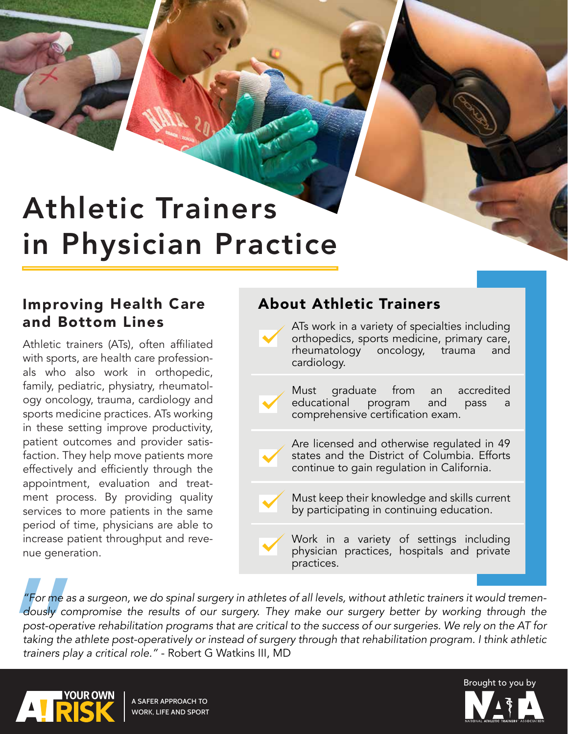# Athletic Trainers in Physician Practice

### Improving Health Care About Athletic Trainers and Bottom Lines

Athletic trainers (ATs), often affiliated with sports, are health care professionals who also work in orthopedic, family, pediatric, physiatry, rheumatology oncology, trauma, cardiology and sports medicine practices. ATs working in these setting improve productivity, patient outcomes and provider satisfaction. They help move patients more effectively and efficiently through the appointment, evaluation and treatment process. By providing quality services to more patients in the same period of time, physicians are able to increase patient throughput and revenue generation.

ATs work in a variety of specialties including orthopedics, sports medicine, primary care, rheumatology oncology, trauma and cardiology.

Must graduate from an accredited<br>educational program and pass a educational program and pass comprehensive certification exam.

Are licensed and otherwise regulated in 49 states and the District of Columbia. Efforts continue to gain regulation in California.

Must keep their knowledge and skills current by participating in continuing education.

Work in a variety of settings including physician practices, hospitals and private practices.

"For me as a<br>dously com<br>post-operat<br>taking the a<br>trainers play *"For me as a surgeon, we do spinal surgery in athletes of all levels, without athletic trainers it would tremendously compromise the results of our surgery. They make our surgery better by working through the post-operative rehabilitation programs that are critical to the success of our surgeries. We rely on the AT for taking the athlete post-operatively or instead of surgery through that rehabilitation program. I think athletic trainers play a critical role."* - Robert G Watkins III, MD



A SAFER APPROACH TO WORK, LIFE AND SPORT